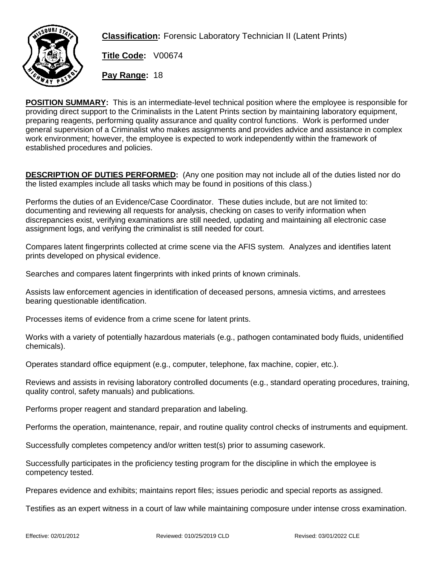

**Classification:** Forensic Laboratory Technician II (Latent Prints)

**Title Code:** V00674

**Pay Range:** 18

**POSITION SUMMARY:** This is an intermediate-level technical position where the employee is responsible for providing direct support to the Criminalists in the Latent Prints section by maintaining laboratory equipment, preparing reagents, performing quality assurance and quality control functions. Work is performed under general supervision of a Criminalist who makes assignments and provides advice and assistance in complex work environment; however, the employee is expected to work independently within the framework of established procedures and policies.

**DESCRIPTION OF DUTIES PERFORMED:** (Any one position may not include all of the duties listed nor do the listed examples include all tasks which may be found in positions of this class.)

Performs the duties of an Evidence/Case Coordinator. These duties include, but are not limited to: documenting and reviewing all requests for analysis, checking on cases to verify information when discrepancies exist, verifying examinations are still needed, updating and maintaining all electronic case assignment logs, and verifying the criminalist is still needed for court.

Compares latent fingerprints collected at crime scene via the AFIS system. Analyzes and identifies latent prints developed on physical evidence.

Searches and compares latent fingerprints with inked prints of known criminals.

Assists law enforcement agencies in identification of deceased persons, amnesia victims, and arrestees bearing questionable identification.

Processes items of evidence from a crime scene for latent prints.

Works with a variety of potentially hazardous materials (e.g., pathogen contaminated body fluids, unidentified chemicals).

Operates standard office equipment (e.g., computer, telephone, fax machine, copier, etc.).

Reviews and assists in revising laboratory controlled documents (e.g., standard operating procedures, training, quality control, safety manuals) and publications.

Performs proper reagent and standard preparation and labeling.

Performs the operation, maintenance, repair, and routine quality control checks of instruments and equipment.

Successfully completes competency and/or written test(s) prior to assuming casework.

Successfully participates in the proficiency testing program for the discipline in which the employee is competency tested.

Prepares evidence and exhibits; maintains report files; issues periodic and special reports as assigned.

Testifies as an expert witness in a court of law while maintaining composure under intense cross examination.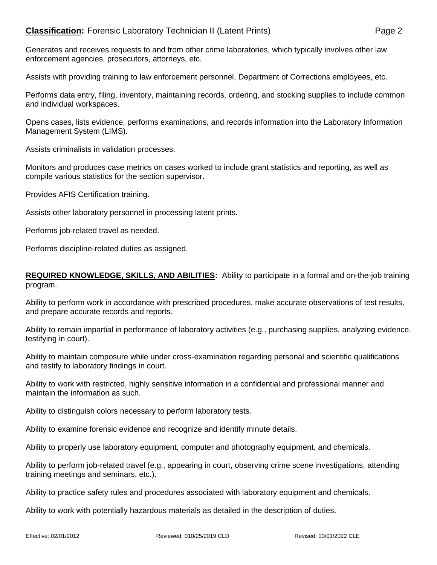## **Classification:** Forensic Laboratory Technician II (Latent Prints) Page 2

Generates and receives requests to and from other crime laboratories, which typically involves other law enforcement agencies, prosecutors, attorneys, etc.

Assists with providing training to law enforcement personnel, Department of Corrections employees, etc.

Performs data entry, filing, inventory, maintaining records, ordering, and stocking supplies to include common and individual workspaces.

Opens cases, lists evidence, performs examinations, and records information into the Laboratory Information Management System (LIMS).

Assists criminalists in validation processes.

Monitors and produces case metrics on cases worked to include grant statistics and reporting, as well as compile various statistics for the section supervisor.

Provides AFIS Certification training.

Assists other laboratory personnel in processing latent prints.

Performs job-related travel as needed.

Performs discipline-related duties as assigned.

## **REQUIRED KNOWLEDGE, SKILLS, AND ABILITIES:** Ability to participate in a formal and on-the-job training program.

Ability to perform work in accordance with prescribed procedures, make accurate observations of test results, and prepare accurate records and reports.

Ability to remain impartial in performance of laboratory activities (e.g., purchasing supplies, analyzing evidence, testifying in court).

Ability to maintain composure while under cross-examination regarding personal and scientific qualifications and testify to laboratory findings in court.

Ability to work with restricted, highly sensitive information in a confidential and professional manner and maintain the information as such.

Ability to distinguish colors necessary to perform laboratory tests.

Ability to examine forensic evidence and recognize and identify minute details.

Ability to properly use laboratory equipment, computer and photography equipment, and chemicals.

Ability to perform job-related travel (e.g., appearing in court, observing crime scene investigations, attending training meetings and seminars, etc.).

Ability to practice safety rules and procedures associated with laboratory equipment and chemicals.

Ability to work with potentially hazardous materials as detailed in the description of duties.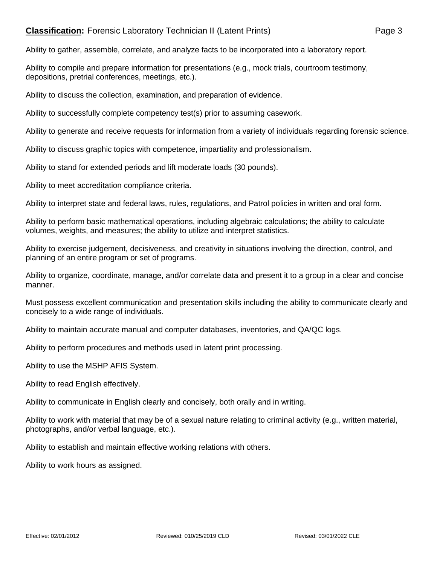## **Classification:** Forensic Laboratory Technician II (Latent Prints) Page 3

Ability to gather, assemble, correlate, and analyze facts to be incorporated into a laboratory report.

Ability to compile and prepare information for presentations (e.g., mock trials, courtroom testimony, depositions, pretrial conferences, meetings, etc.).

Ability to discuss the collection, examination, and preparation of evidence.

Ability to successfully complete competency test(s) prior to assuming casework.

Ability to generate and receive requests for information from a variety of individuals regarding forensic science.

Ability to discuss graphic topics with competence, impartiality and professionalism.

Ability to stand for extended periods and lift moderate loads (30 pounds).

Ability to meet accreditation compliance criteria.

Ability to interpret state and federal laws, rules, regulations, and Patrol policies in written and oral form.

Ability to perform basic mathematical operations, including algebraic calculations; the ability to calculate volumes, weights, and measures; the ability to utilize and interpret statistics.

Ability to exercise judgement, decisiveness, and creativity in situations involving the direction, control, and planning of an entire program or set of programs.

Ability to organize, coordinate, manage, and/or correlate data and present it to a group in a clear and concise manner.

Must possess excellent communication and presentation skills including the ability to communicate clearly and concisely to a wide range of individuals.

Ability to maintain accurate manual and computer databases, inventories, and QA/QC logs.

Ability to perform procedures and methods used in latent print processing.

Ability to use the MSHP AFIS System.

Ability to read English effectively.

Ability to communicate in English clearly and concisely, both orally and in writing.

Ability to work with material that may be of a sexual nature relating to criminal activity (e.g., written material, photographs, and/or verbal language, etc.).

Ability to establish and maintain effective working relations with others.

Ability to work hours as assigned.